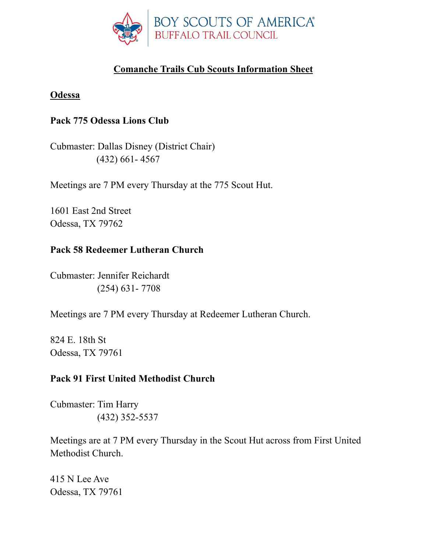

# **Comanche Trails Cub Scouts Information Sheet**

#### **Odessa**

### **Pack 775 Odessa Lions Club**

Cubmaster: Dallas Disney (District Chair) (432) 661- 4567

Meetings are 7 PM every Thursday at the 775 Scout Hut.

1601 East 2nd Street Odessa, TX 79762

### **Pack 58 Redeemer Lutheran Church**

Cubmaster: Jennifer Reichardt (254) 631- 7708

Meetings are 7 PM every Thursday at Redeemer Lutheran Church.

824 E. 18th St Odessa, TX 79761

### **Pack 91 First United Methodist Church**

Cubmaster: Tim Harry (432) 352-5537

Meetings are at 7 PM every Thursday in the Scout Hut across from First United Methodist Church.

415 N Lee Ave Odessa, TX 79761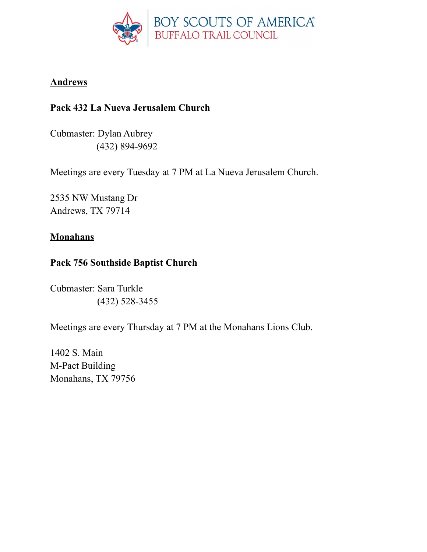

### **Andrews**

## **Pack 432 La Nueva Jerusalem Church**

Cubmaster: Dylan Aubrey (432) 894-9692

Meetings are every Tuesday at 7 PM at La Nueva Jerusalem Church.

2535 NW Mustang Dr Andrews, TX 79714

### **Monahans**

### **Pack 756 Southside Baptist Church**

Cubmaster: Sara Turkle (432) 528-3455

Meetings are every Thursday at 7 PM at the Monahans Lions Club.

1402 S. Main M-Pact Building Monahans, TX 79756